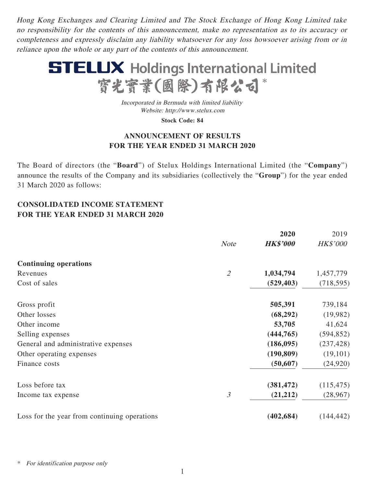Hong Kong Exchanges and Clearing Limited and The Stock Exchange of Hong Kong Limited take no responsibility for the contents of this announcement, make no representation as to its accuracy or completeness and expressly disclaim any liability whatsoever for any loss howsoever arising from or in reliance upon the whole or any part of the contents of this announcement.



Incorporated in Bermuda with limited liability Website: http://www.stelux.com

**Stock Code: 84**

# **ANNOUNCEMENT OF RESULTS FOR THE YEAR ENDED 31 MARCH 2020**

The Board of directors (the "**Board**") of Stelux Holdings International Limited (the "**Company**") announce the results of the Company and its subsidiaries (collectively the "**Group**") for the year ended 31 March 2020 as follows:

# **CONSOLIDATED INCOME STATEMENT FOR THE YEAR ENDED 31 MARCH 2020**

|                                              |                | 2020            | 2019            |
|----------------------------------------------|----------------|-----------------|-----------------|
|                                              | <b>Note</b>    | <b>HK\$'000</b> | <b>HK\$'000</b> |
| <b>Continuing operations</b>                 |                |                 |                 |
| Revenues                                     | $\overline{2}$ | 1,034,794       | 1,457,779       |
| Cost of sales                                |                | (529, 403)      | (718, 595)      |
| Gross profit                                 |                | 505,391         | 739,184         |
| Other losses                                 |                | (68, 292)       | (19,982)        |
| Other income                                 |                | 53,705          | 41,624          |
| Selling expenses                             |                | (444, 765)      | (594, 852)      |
| General and administrative expenses          |                | (186,095)       | (237, 428)      |
| Other operating expenses                     |                | (190, 809)      | (19,101)        |
| Finance costs                                |                | (50, 607)       | (24,920)        |
| Loss before tax                              |                | (381, 472)      | (115, 475)      |
| Income tax expense                           | 3              | (21,212)        | (28,967)        |
| Loss for the year from continuing operations |                | (402, 684)      | (144, 442)      |

For identification purpose only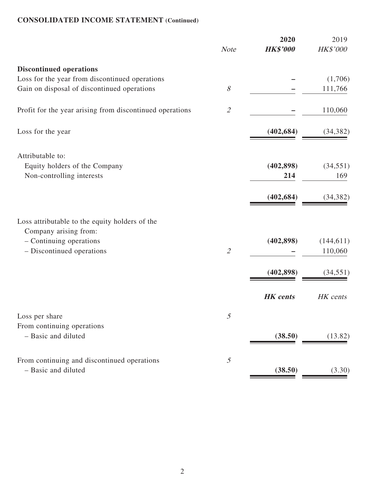# **CONSOLIDATED INCOME STATEMENT (Continued)**

|                                                                         | <b>Note</b>                 | 2020<br><b>HK\$'000</b> | 2019<br>HK\$'000 |
|-------------------------------------------------------------------------|-----------------------------|-------------------------|------------------|
| <b>Discontinued operations</b>                                          |                             |                         |                  |
| Loss for the year from discontinued operations                          |                             |                         | (1,706)          |
| Gain on disposal of discontinued operations                             | $\mathcal S$                |                         | 111,766          |
| Profit for the year arising from discontinued operations                | $\mathcal{Z}$               |                         | 110,060          |
| Loss for the year                                                       |                             | (402, 684)              | (34, 382)        |
| Attributable to:                                                        |                             |                         |                  |
| Equity holders of the Company                                           |                             | (402, 898)              | (34, 551)        |
| Non-controlling interests                                               |                             | 214                     | 169              |
|                                                                         |                             | (402, 684)              | (34, 382)        |
| Loss attributable to the equity holders of the<br>Company arising from: |                             |                         |                  |
| - Continuing operations                                                 |                             | (402, 898)              | (144, 611)       |
| - Discontinued operations                                               | $\mathcal{L}_{\mathcal{L}}$ |                         | 110,060          |
|                                                                         |                             | (402, 898)              | (34, 551)        |
|                                                                         |                             |                         |                  |
|                                                                         |                             | <b>HK</b> cents         | HK cents         |
| Loss per share                                                          | $\mathfrak{I}$              |                         |                  |
| From continuing operations                                              |                             |                         |                  |
| - Basic and diluted                                                     |                             | (38.50)                 | (13.82)          |
| From continuing and discontinued operations                             | $\mathfrak{I}$              |                         |                  |
| - Basic and diluted                                                     |                             | (38.50)                 | (3.30)           |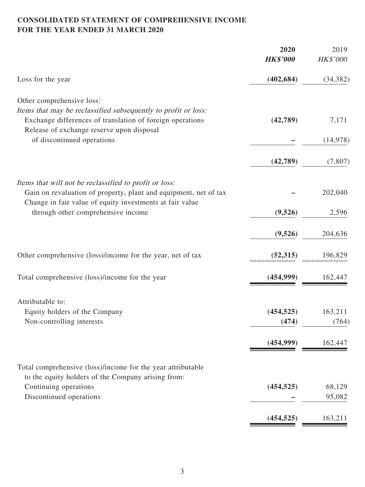# **CONSOLIDATED STATEMENT OF COMPREHENSIVE INCOME FOR THE YEAR ENDED 31 MARCH 2020**

|                                                                                                                              | 2020<br><b>HK\$'000</b> | 2019<br>HK\$'000 |
|------------------------------------------------------------------------------------------------------------------------------|-------------------------|------------------|
| Loss for the year                                                                                                            | (402, 684)              | (34, 382)        |
|                                                                                                                              |                         |                  |
| Other comprehensive loss:<br>Items that may be reclassified subsequently to profit or loss:                                  |                         |                  |
| Exchange differences of translation of foreign operations<br>Release of exchange reserve upon disposal                       | (42,789)                | 7,171            |
| of discontinued operations                                                                                                   |                         | (14, 978)        |
|                                                                                                                              | (42,789)                | (7, 807)         |
| Items that will not be reclassified to profit or loss:                                                                       |                         |                  |
| Gain on revaluation of property, plant and equipment, net of tax<br>Change in fair value of equity investments at fair value |                         | 202,040          |
| through other comprehensive income                                                                                           | (9,526)                 | 2,596            |
|                                                                                                                              | (9,526)                 | 204,636          |
| Other comprehensive (loss)/income for the year, net of tax                                                                   | (52, 315)               | 196,829          |
| Total comprehensive (loss)/income for the year                                                                               | (454, 999)              | 162,447          |
| Attributable to:                                                                                                             |                         |                  |
| Equity holders of the Company                                                                                                | (454, 525)              | 163,211          |
| Non-controlling interests                                                                                                    | (474)                   | (764)            |
|                                                                                                                              | (454,999)               | 162,447          |
| Total comprehensive (loss)/income for the year attributable                                                                  |                         |                  |
| to the equity holders of the Company arising from:<br>Continuing operations                                                  | (454, 525)              | 68,129           |
| Discontinued operations                                                                                                      |                         | 95,082           |
|                                                                                                                              | (454, 525)              | 163,211          |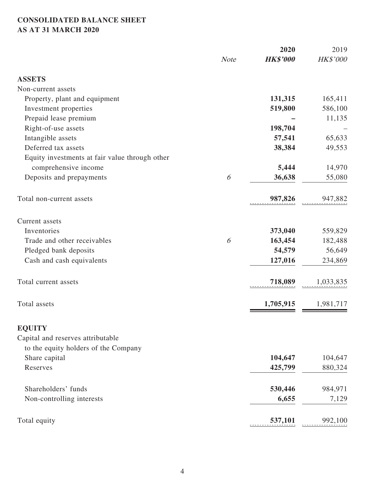# **CONSOLIDATED BALANCE SHEET AS AT 31 MARCH 2020**

|                                                |             | 2020            | 2019      |
|------------------------------------------------|-------------|-----------------|-----------|
|                                                | <b>Note</b> | <b>HK\$'000</b> | HK\$'000  |
| <b>ASSETS</b>                                  |             |                 |           |
| Non-current assets                             |             |                 |           |
| Property, plant and equipment                  |             | 131,315         | 165,411   |
| Investment properties                          |             | 519,800         | 586,100   |
| Prepaid lease premium                          |             |                 | 11,135    |
| Right-of-use assets                            |             | 198,704         |           |
| Intangible assets                              |             | 57,541          | 65,633    |
| Deferred tax assets                            |             | 38,384          | 49,553    |
| Equity investments at fair value through other |             |                 |           |
| comprehensive income                           |             | 5,444           | 14,970    |
| Deposits and prepayments                       | 6           | 36,638          | 55,080    |
| Total non-current assets                       |             | 987,826         | 947,882   |
| Current assets                                 |             |                 |           |
| Inventories                                    |             | 373,040         | 559,829   |
| Trade and other receivables                    | 6           | 163,454         | 182,488   |
| Pledged bank deposits                          |             | 54,579          | 56,649    |
| Cash and cash equivalents                      |             | 127,016         | 234,869   |
| Total current assets                           |             | 718,089         | 1,033,835 |
| Total assets                                   |             | 1,705,915       | 1,981,717 |
| <b>EQUITY</b>                                  |             |                 |           |
| Capital and reserves attributable              |             |                 |           |
| to the equity holders of the Company           |             |                 |           |
| Share capital                                  |             | 104,647         | 104,647   |
| Reserves                                       |             | 425,799         | 880,324   |
| Shareholders' funds                            |             | 530,446         | 984,971   |
| Non-controlling interests                      |             | 6,655           | 7,129     |
| Total equity                                   |             | 537,101         | 992,100   |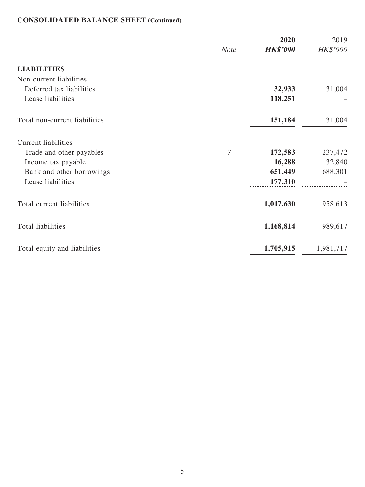# **CONSOLIDATED BALANCE SHEET (Continued)**

|                               | <b>Note</b>    | 2020<br><b>HK\$'000</b> | 2019<br>HK\$'000 |
|-------------------------------|----------------|-------------------------|------------------|
| <b>LIABILITIES</b>            |                |                         |                  |
| Non-current liabilities       |                |                         |                  |
| Deferred tax liabilities      |                | 32,933                  | 31,004           |
| Lease liabilities             |                | 118,251                 |                  |
| Total non-current liabilities |                | 151,184                 | 31,004           |
| <b>Current liabilities</b>    |                |                         |                  |
| Trade and other payables      | $\overline{7}$ | 172,583                 | 237,472          |
| Income tax payable            |                | 16,288                  | 32,840           |
| Bank and other borrowings     |                | 651,449                 | 688,301          |
| Lease liabilities             |                | 177,310                 |                  |
| Total current liabilities     |                | 1,017,630               | 958,613          |
| <b>Total liabilities</b>      |                | 1,168,814               | 989,617          |
| Total equity and liabilities  |                | 1,705,915               | 1,981,717        |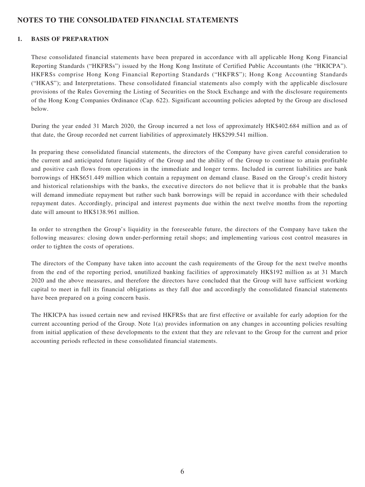## **NOTES TO THE CONSOLIDATED FINANCIAL STATEMENTS**

### **1. BASIS OF PREPARATION**

These consolidated financial statements have been prepared in accordance with all applicable Hong Kong Financial Reporting Standards ("HKFRSs") issued by the Hong Kong Institute of Certified Public Accountants (the "HKICPA"). HKFRSs comprise Hong Kong Financial Reporting Standards ("HKFRS"); Hong Kong Accounting Standards ("HKAS"); and Interpretations. These consolidated financial statements also comply with the applicable disclosure provisions of the Rules Governing the Listing of Securities on the Stock Exchange and with the disclosure requirements of the Hong Kong Companies Ordinance (Cap. 622). Significant accounting policies adopted by the Group are disclosed below.

During the year ended 31 March 2020, the Group incurred a net loss of approximately HK\$402.684 million and as of that date, the Group recorded net current liabilities of approximately HK\$299.541 million.

In preparing these consolidated financial statements, the directors of the Company have given careful consideration to the current and anticipated future liquidity of the Group and the ability of the Group to continue to attain profitable and positive cash flows from operations in the immediate and longer terms. Included in current liabilities are bank borrowings of HK\$651.449 million which contain a repayment on demand clause. Based on the Group's credit history and historical relationships with the banks, the executive directors do not believe that it is probable that the banks will demand immediate repayment but rather such bank borrowings will be repaid in accordance with their scheduled repayment dates. Accordingly, principal and interest payments due within the next twelve months from the reporting date will amount to HK\$138.961 million.

In order to strengthen the Group's liquidity in the foreseeable future, the directors of the Company have taken the following measures: closing down under-performing retail shops; and implementing various cost control measures in order to tighten the costs of operations.

The directors of the Company have taken into account the cash requirements of the Group for the next twelve months from the end of the reporting period, unutilized banking facilities of approximately HK\$192 million as at 31 March 2020 and the above measures, and therefore the directors have concluded that the Group will have sufficient working capital to meet in full its financial obligations as they fall due and accordingly the consolidated financial statements have been prepared on a going concern basis.

The HKICPA has issued certain new and revised HKFRSs that are first effective or available for early adoption for the current accounting period of the Group. Note 1(a) provides information on any changes in accounting policies resulting from initial application of these developments to the extent that they are relevant to the Group for the current and prior accounting periods reflected in these consolidated financial statements.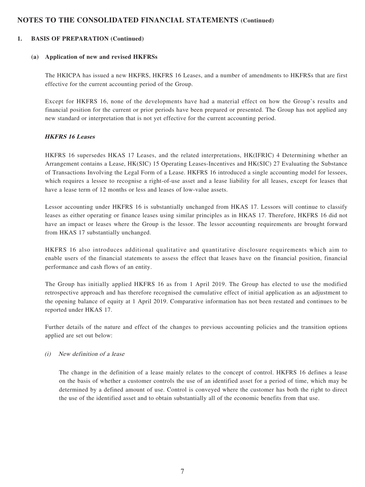#### **1. BASIS OF PREPARATION (Continued)**

#### **(a) Application of new and revised HKFRSs**

The HKICPA has issued a new HKFRS, HKFRS 16 Leases, and a number of amendments to HKFRSs that are first effective for the current accounting period of the Group.

Except for HKFRS 16, none of the developments have had a material effect on how the Group's results and financial position for the current or prior periods have been prepared or presented. The Group has not applied any new standard or interpretation that is not yet effective for the current accounting period.

#### **HKFRS 16 Leases**

HKFRS 16 supersedes HKAS 17 Leases, and the related interpretations, HK(IFRIC) 4 Determining whether an Arrangement contains a Lease, HK(SIC) 15 Operating Leases-Incentives and HK(SIC) 27 Evaluating the Substance of Transactions Involving the Legal Form of a Lease. HKFRS 16 introduced a single accounting model for lessees, which requires a lessee to recognise a right-of-use asset and a lease liability for all leases, except for leases that have a lease term of 12 months or less and leases of low-value assets.

Lessor accounting under HKFRS 16 is substantially unchanged from HKAS 17. Lessors will continue to classify leases as either operating or finance leases using similar principles as in HKAS 17. Therefore, HKFRS 16 did not have an impact or leases where the Group is the lessor. The lessor accounting requirements are brought forward from HKAS 17 substantially unchanged.

HKFRS 16 also introduces additional qualitative and quantitative disclosure requirements which aim to enable users of the financial statements to assess the effect that leases have on the financial position, financial performance and cash flows of an entity.

The Group has initially applied HKFRS 16 as from 1 April 2019. The Group has elected to use the modified retrospective approach and has therefore recognised the cumulative effect of initial application as an adjustment to the opening balance of equity at 1 April 2019. Comparative information has not been restated and continues to be reported under HKAS 17.

Further details of the nature and effect of the changes to previous accounting policies and the transition options applied are set out below:

#### (i) New definition of a lease

The change in the definition of a lease mainly relates to the concept of control. HKFRS 16 defines a lease on the basis of whether a customer controls the use of an identified asset for a period of time, which may be determined by a defined amount of use. Control is conveyed where the customer has both the right to direct the use of the identified asset and to obtain substantially all of the economic benefits from that use.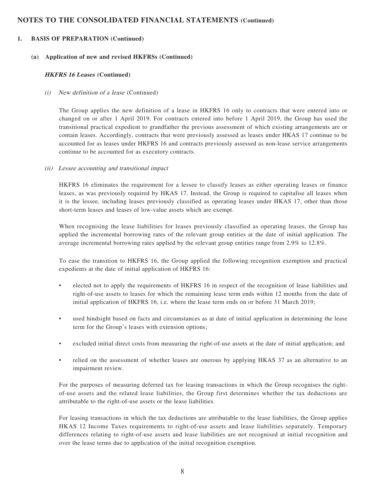#### **1. BASIS OF PREPARATION (Continued)**

#### **(a) Application of new and revised HKFRSs (Continued)**

#### **HKFRS 16 Leases (Continued)**

#### (i) New definition of a lease (Continued)

The Group applies the new definition of a lease in HKFRS 16 only to contracts that were entered into or changed on or after 1 April 2019. For contracts entered into before 1 April 2019, the Group has used the transitional practical expedient to grandfather the previous assessment of which existing arrangements are or contain leases. Accordingly, contracts that were previously assessed as leases under HKAS 17 continue to be accounted for as leases under HKFRS 16 and contracts previously assessed as non-lease service arrangements continue to be accounted for as executory contracts.

#### (ii) Lessee accounting and transitional impact

HKFRS 16 eliminates the requirement for a lessee to classify leases as either operating leases or finance leases, as was previously required by HKAS 17. Instead, the Group is required to capitalise all leases when it is the lessee, including leases previously classified as operating leases under HKAS 17, other than those short-term leases and leases of low-value assets which are exempt.

When recognising the lease liabilities for leases previously classified as operating leases, the Group has applied the incremental borrowing rates of the relevant group entities at the date of initial application. The average incremental borrowing rates applied by the relevant group entities range from 2.9% to 12.8%.

To ease the transition to HKFRS 16, the Group applied the following recognition exemption and practical expedients at the date of initial application of HKFRS 16:

- elected not to apply the requirements of HKFRS 16 in respect of the recognition of lease liabilities and right-of-use assets to leases for which the remaining lease term ends within 12 months from the date of initial application of HKFRS 16, i.e. where the lease term ends on or before 31 March 2019;
- used hindsight based on facts and circumstances as at date of initial application in determining the lease term for the Group's leases with extension options;
- excluded initial direct costs from measuring the right-of-use assets at the date of initial application; and
- relied on the assessment of whether leases are onerous by applying HKAS 37 as an alternative to an impairment review.

For the purposes of measuring deferred tax for leasing transactions in which the Group recognises the rightof-use assets and the related lease liabilities, the Group first determines whether the tax deductions are attributable to the right-of-use assets or the lease liabilities.

For leasing transactions in which the tax deductions are attributable to the lease liabilities, the Group applies HKAS 12 Income Taxes requirements to right-of-use assets and lease liabilities separately. Temporary differences relating to right-of-use assets and lease liabilities are not recognised at initial recognition and over the lease terms due to application of the initial recognition exemption.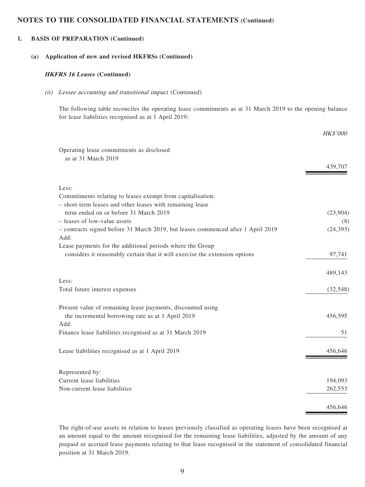#### **1. BASIS OF PREPARATION (Continued)**

#### **(a) Application of new and revised HKFRSs (Continued)**

#### **HKFRS 16 Leases (Continued)**

#### (ii) Lessee accounting and transitional impact (Continued)

The following table reconciles the operating lease commitments as at 31 March 2019 to the opening balance for lease liabilities recognised as at 1 April 2019:

|                                                                                  | <i>HK\$'000</i> |
|----------------------------------------------------------------------------------|-----------------|
| Operating lease commitments as disclosed                                         |                 |
| as at 31 March 2019                                                              |                 |
|                                                                                  | 439,707         |
| Less:                                                                            |                 |
| Commitments relating to leases exempt from capitalisation:                       |                 |
| - short-term leases and other leases with remaining lease                        |                 |
| term ended on or before 31 March 2019                                            | (23,904)        |
| - leases of low-value assets                                                     | (8)             |
| - contracts signed before 31 March 2019, but leases commenced after 1 April 2019 | (24, 393)       |
| Add:                                                                             |                 |
| Lease payments for the additional periods where the Group                        |                 |
| considers it reasonably certain that it will exercise the extension options      | 97,741          |
|                                                                                  | 489,143         |
| Less:                                                                            |                 |
| Total future interest expenses                                                   | (32, 548)       |
| Present value of remaining lease payments, discounted using                      |                 |
| the incremental borrowing rate as at 1 April 2019                                | 456,595         |
| Add:                                                                             |                 |
| Finance lease liabilities recognised as at 31 March 2019                         | 51              |
| Lease liabilities recognised as at 1 April 2019                                  | 456,646         |
|                                                                                  |                 |
| Represented by:<br>Current lease liabilities                                     | 194,093         |
| Non-current lease liabilities                                                    | 262,553         |
|                                                                                  |                 |
|                                                                                  | 456,646         |

The right-of-use assets in relation to leases previously classified as operating leases have been recognised at an amount equal to the amount recognised for the remaining lease liabilities, adjusted by the amount of any prepaid or accrued lease payments relating to that lease recognised in the statement of consolidated financial position at 31 March 2019.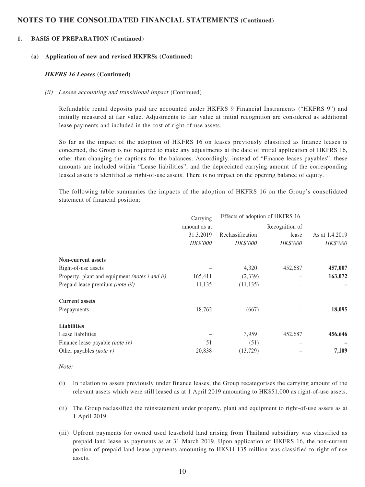#### **1. BASIS OF PREPARATION (Continued)**

#### **(a) Application of new and revised HKFRSs (Continued)**

#### **HKFRS 16 Leases (Continued)**

#### (ii) Lessee accounting and transitional impact (Continued)

Refundable rental deposits paid are accounted under HKFRS 9 Financial Instruments ("HKFRS 9") and initially measured at fair value. Adjustments to fair value at initial recognition are considered as additional lease payments and included in the cost of right-of-use assets.

So far as the impact of the adoption of HKFRS 16 on leases previously classified as finance leases is concerned, the Group is not required to make any adjustments at the date of initial application of HKFRS 16, other than changing the captions for the balances. Accordingly, instead of "Finance leases payables", these amounts are included within "Lease liabilities", and the depreciated carrying amount of the corresponding leased assets is identified as right-of-use assets. There is no impact on the opening balance of equity.

The following table summaries the impacts of the adoption of HKFRS 16 on the Group's consolidated statement of financial position:

|                                                | Carrying        | Effects of adoption of HKFRS 16 |                 |                 |  |
|------------------------------------------------|-----------------|---------------------------------|-----------------|-----------------|--|
|                                                | amount as at    |                                 | Recognition of  |                 |  |
|                                                | 31.3.2019       | Reclassification                | lease           | As at 1.4.2019  |  |
|                                                | <b>HK\$'000</b> | <b>HK\$'000</b>                 | <b>HK\$'000</b> | <b>HK\$'000</b> |  |
| <b>Non-current assets</b>                      |                 |                                 |                 |                 |  |
| Right-of-use assets                            |                 | 4,320                           | 452,687         | 457,007         |  |
| Property, plant and equipment (notes i and ii) | 165,411         | (2,339)                         |                 | 163,072         |  |
| Prepaid lease premium (note iii)               | 11,135          | (11, 135)                       |                 |                 |  |
| <b>Current assets</b>                          |                 |                                 |                 |                 |  |
| Prepayments                                    | 18,762          | (667)                           |                 | 18,095          |  |
| <b>Liabilities</b>                             |                 |                                 |                 |                 |  |
| Lease liabilities                              |                 | 3,959                           | 452,687         | 456,646         |  |
| Finance lease payable (note iv)                | 51              | (51)                            |                 |                 |  |
| Other payables <i>(note v)</i>                 | 20,838          | (13,729)                        |                 | 7,109           |  |

Note:

- (i) In relation to assets previously under finance leases, the Group recategorises the carrying amount of the relevant assets which were still leased as at 1 April 2019 amounting to HK\$51,000 as right-of-use assets.
- (ii) The Group reclassified the reinstatement under property, plant and equipment to right-of-use assets as at 1 April 2019.
- (iii) Upfront payments for owned used leasehold land arising from Thailand subsidiary was classified as prepaid land lease as payments as at 31 March 2019. Upon application of HKFRS 16, the non-current portion of prepaid land lease payments amounting to HK\$11.135 million was classified to right-of-use assets.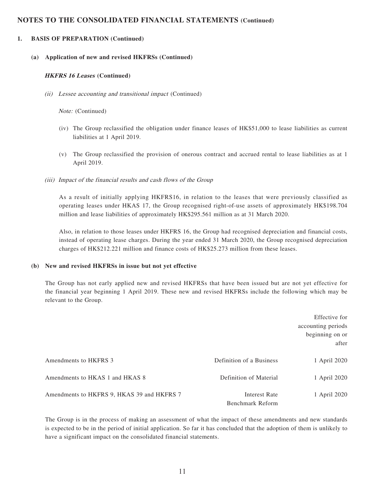### **1. BASIS OF PREPARATION (Continued)**

#### **(a) Application of new and revised HKFRSs (Continued)**

#### **HKFRS 16 Leases (Continued)**

(ii) Lessee accounting and transitional impact (Continued)

#### Note: (Continued)

- (iv) The Group reclassified the obligation under finance leases of HK\$51,000 to lease liabilities as current liabilities at 1 April 2019.
- (v) The Group reclassified the provision of onerous contract and accrued rental to lease liabilities as at 1 April 2019.
- (iii) Impact of the financial results and cash flows of the Group

As a result of initially applying HKFRS16, in relation to the leases that were previously classified as operating leases under HKAS 17, the Group recognised right-of-use assets of approximately HK\$198.704 million and lease liabilities of approximately HK\$295.561 million as at 31 March 2020.

Also, in relation to those leases under HKFRS 16, the Group had recognised depreciation and financial costs, instead of operating lease charges. During the year ended 31 March 2020, the Group recognised depreciation charges of HK\$212.221 million and finance costs of HK\$25.273 million from these leases.

#### **(b) New and revised HKFRSs in issue but not yet effective**

The Group has not early applied new and revised HKFRSs that have been issued but are not yet effective for the financial year beginning 1 April 2019. These new and revised HKFRSs include the following which may be relevant to the Group.

|                                            |                                   | Effective for<br>accounting periods<br>beginning on or<br>after |
|--------------------------------------------|-----------------------------------|-----------------------------------------------------------------|
| Amendments to HKFRS 3                      | Definition of a Business          | 1 April 2020                                                    |
| Amendments to HKAS 1 and HKAS 8            | Definition of Material            | 1 April 2020                                                    |
| Amendments to HKFRS 9, HKAS 39 and HKFRS 7 | Interest Rate<br>Benchmark Reform | 1 April 2020                                                    |

The Group is in the process of making an assessment of what the impact of these amendments and new standards is expected to be in the period of initial application. So far it has concluded that the adoption of them is unlikely to have a significant impact on the consolidated financial statements.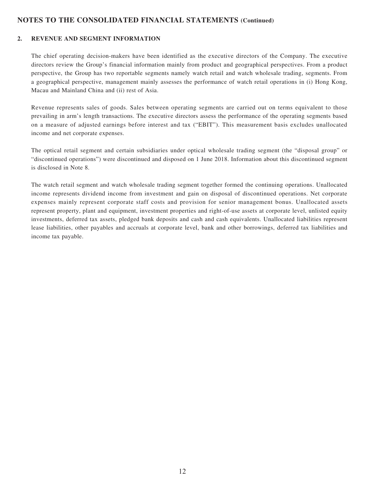### **2. REVENUE AND SEGMENT INFORMATION**

The chief operating decision-makers have been identified as the executive directors of the Company. The executive directors review the Group's financial information mainly from product and geographical perspectives. From a product perspective, the Group has two reportable segments namely watch retail and watch wholesale trading, segments. From a geographical perspective, management mainly assesses the performance of watch retail operations in (i) Hong Kong, Macau and Mainland China and (ii) rest of Asia.

Revenue represents sales of goods. Sales between operating segments are carried out on terms equivalent to those prevailing in arm's length transactions. The executive directors assess the performance of the operating segments based on a measure of adjusted earnings before interest and tax ("EBIT"). This measurement basis excludes unallocated income and net corporate expenses.

The optical retail segment and certain subsidiaries under optical wholesale trading segment (the "disposal group" or "discontinued operations") were discontinued and disposed on 1 June 2018. Information about this discontinued segment is disclosed in Note 8.

The watch retail segment and watch wholesale trading segment together formed the continuing operations. Unallocated income represents dividend income from investment and gain on disposal of discontinued operations. Net corporate expenses mainly represent corporate staff costs and provision for senior management bonus. Unallocated assets represent property, plant and equipment, investment properties and right-of-use assets at corporate level, unlisted equity investments, deferred tax assets, pledged bank deposits and cash and cash equivalents. Unallocated liabilities represent lease liabilities, other payables and accruals at corporate level, bank and other borrowings, deferred tax liabilities and income tax payable.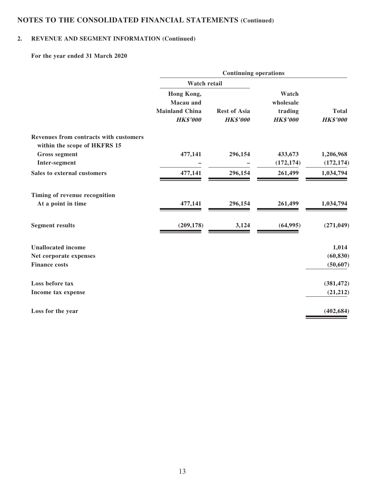# **2. REVENUE AND SEGMENT INFORMATION (Continued)**

**For the year ended 31 March 2020**

|                                                                        | <b>Continuing operations</b>                                        |                                        |                                                  |                                 |  |  |  |
|------------------------------------------------------------------------|---------------------------------------------------------------------|----------------------------------------|--------------------------------------------------|---------------------------------|--|--|--|
|                                                                        | <b>Watch retail</b>                                                 |                                        |                                                  |                                 |  |  |  |
|                                                                        | Hong Kong,<br>Macau and<br><b>Mainland China</b><br><b>HK\$'000</b> | <b>Rest of Asia</b><br><b>HK\$'000</b> | Watch<br>wholesale<br>trading<br><b>HK\$'000</b> | <b>Total</b><br><b>HK\$'000</b> |  |  |  |
| Revenues from contracts with customers<br>within the scope of HKFRS 15 |                                                                     |                                        |                                                  |                                 |  |  |  |
| <b>Gross segment</b>                                                   | 477,141                                                             | 296,154                                | 433,673                                          | 1,206,968                       |  |  |  |
| Inter-segment                                                          |                                                                     |                                        | (172, 174)                                       | (172, 174)                      |  |  |  |
| Sales to external customers                                            | 477,141                                                             | 296,154                                | 261,499                                          | 1,034,794                       |  |  |  |
| Timing of revenue recognition                                          |                                                                     |                                        |                                                  |                                 |  |  |  |
| At a point in time                                                     | 477,141                                                             | 296,154                                | 261,499                                          | 1,034,794                       |  |  |  |
| <b>Segment results</b>                                                 | (209, 178)                                                          | 3,124                                  | (64, 995)                                        | (271, 049)                      |  |  |  |
| <b>Unallocated income</b>                                              |                                                                     |                                        |                                                  | 1,014                           |  |  |  |
| Net corporate expenses                                                 |                                                                     |                                        |                                                  | (60, 830)                       |  |  |  |
| <b>Finance costs</b>                                                   |                                                                     |                                        |                                                  | (50, 607)                       |  |  |  |
| Loss before tax                                                        |                                                                     |                                        |                                                  | (381, 472)                      |  |  |  |
| Income tax expense                                                     |                                                                     |                                        |                                                  | (21, 212)                       |  |  |  |
| Loss for the year                                                      |                                                                     |                                        |                                                  | (402, 684)                      |  |  |  |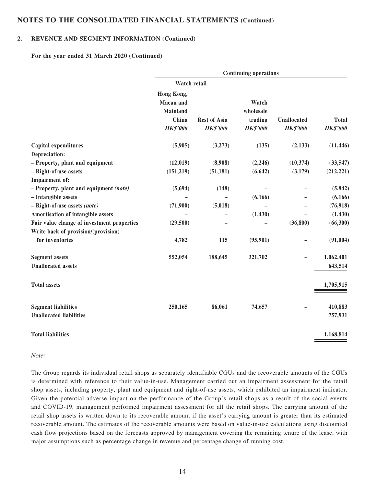### **2. REVENUE AND SEGMENT INFORMATION (Continued)**

**For the year ended 31 March 2020 (Continued)**

|                                            | <b>Continuing operations</b>               |                                        |                            |                                       |                                 |  |  |
|--------------------------------------------|--------------------------------------------|----------------------------------------|----------------------------|---------------------------------------|---------------------------------|--|--|
|                                            | Watch retail                               |                                        |                            |                                       |                                 |  |  |
|                                            | Hong Kong,<br>Macau and<br><b>Mainland</b> |                                        | Watch<br>wholesale         |                                       |                                 |  |  |
|                                            | China<br><b>HK\$'000</b>                   | <b>Rest of Asia</b><br><b>HK\$'000</b> | trading<br><b>HK\$'000</b> | <b>Unallocated</b><br><b>HK\$'000</b> | <b>Total</b><br><b>HK\$'000</b> |  |  |
| Capital expenditures                       | (5,905)                                    | (3,273)                                | (135)                      | (2,133)                               | (11, 446)                       |  |  |
| Depreciation:                              |                                            |                                        |                            |                                       |                                 |  |  |
| - Property, plant and equipment            | (12,019)                                   | (8,908)                                | (2,246)                    | (10, 374)                             | (33, 547)                       |  |  |
| - Right-of-use assets                      | (151,219)                                  | (51, 181)                              | (6, 642)                   | (3,179)                               | (212, 221)                      |  |  |
| Impairment of:                             |                                            |                                        |                            |                                       |                                 |  |  |
| $-$ Property, plant and equipment (note)   | (5,694)                                    | (148)                                  |                            |                                       | (5, 842)                        |  |  |
| - Intangible assets                        |                                            |                                        | (6,166)                    |                                       | (6,166)                         |  |  |
| $-$ Right-of-use assets (note)             | (71,900)                                   | (5,018)                                |                            |                                       | (76, 918)                       |  |  |
| Amortisation of intangible assets          |                                            |                                        | (1, 430)                   |                                       | (1, 430)                        |  |  |
| Fair value change of investment properties | (29, 500)                                  |                                        |                            | (36,800)                              | (66, 300)                       |  |  |
| Write back of provision/(provision)        |                                            |                                        |                            |                                       |                                 |  |  |
| for inventories                            | 4,782                                      | 115                                    | (95, 901)                  |                                       | (91,004)                        |  |  |
| <b>Segment assets</b>                      | 552,054                                    | 188,645                                | 321,702                    |                                       | 1,062,401                       |  |  |
| <b>Unallocated assets</b>                  |                                            |                                        |                            |                                       | 643,514                         |  |  |
| <b>Total assets</b>                        |                                            |                                        |                            |                                       | 1,705,915                       |  |  |
| <b>Segment liabilities</b>                 | 250,165                                    | 86,061                                 | 74,657                     |                                       | 410,883                         |  |  |
| <b>Unallocated liabilities</b>             |                                            |                                        |                            |                                       | 757,931                         |  |  |
| <b>Total liabilities</b>                   |                                            |                                        |                            |                                       | 1,168,814                       |  |  |

#### Note:

The Group regards its individual retail shops as separately identifiable CGUs and the recoverable amounts of the CGUs is determined with reference to their value-in-use. Management carried out an impairment assessment for the retail shop assets, including property, plant and equipment and right-of-use assets, which exhibited an impairment indicator. Given the potential adverse impact on the performance of the Group's retail shops as a result of the social events and COVID-19, management performed impairment assessment for all the retail shops. The carrying amount of the retail shop assets is written down to its recoverable amount if the asset's carrying amount is greater than its estimated recoverable amount. The estimates of the recoverable amounts were based on value-in-use calculations using discounted cash flow projections based on the forecasts approved by management covering the remaining tenure of the lease, with major assumptions such as percentage change in revenue and percentage change of running cost.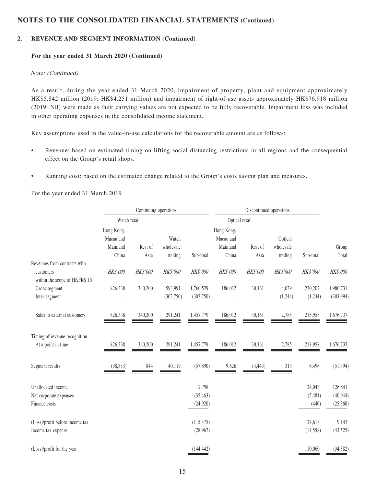### **2. REVENUE AND SEGMENT INFORMATION (Continued)**

#### **For the year ended 31 March 2020 (Continued)**

#### Note: (Continued)

As a result, during the year ended 31 March 2020, impairment of property, plant and equipment approximately HK\$5.842 million (2019: HK\$4.251 million) and impairment of right-of-use assets approximately HK\$76.918 million (2019: Nil) were made as their carrying values are not expected to be fully recoverable. Impairment loss was included in other operating expenses in the consolidated income statement.

Key assumptions used in the value-in-use calculations for the recoverable amount are as follows:

- Revenue: based on estimated timing on lifting social distancing restrictions in all regions and the consequential effect on the Group's retail shops.
- Running cost: based on the estimated change related to the Group's costs saving plan and measures.

For the year ended 31 March 2019

|                                                       | Continuing operations               |          |                       |                        | Discontinued operations             |          |                      |                      |                         |
|-------------------------------------------------------|-------------------------------------|----------|-----------------------|------------------------|-------------------------------------|----------|----------------------|----------------------|-------------------------|
|                                                       | Watch retail                        |          |                       |                        | Optical retail                      |          |                      |                      |                         |
|                                                       | Hong Kong,<br>Macau and<br>Mainland | Rest of  | Watch<br>wholesale    |                        | Hong Kong,<br>Macau and<br>Mainland | Rest of  | Optical<br>wholesale |                      | Group                   |
| Revenues from contracts with                          | China                               | Asia     | trading               | Sub-total              | China                               | Asia     | trading              | Sub-total            | Total                   |
| customers<br>within the scope of HKFRS 15             | HK\$'000                            | HK\$'000 | HK\$'000              | <b>HK\$'000</b>        | HK\$'000                            | HK\$'000 | HK\$'000             | HK\$'000             | HK\$'000                |
| Gross segment<br>Inter-segment                        | 826,338                             | 340,200  | 593,991<br>(302, 750) | 1,760,529<br>(302,750) | 186,012                             | 30,161   | 4,029<br>(1,244)     | 220,202<br>(1,244)   | 1,980,731<br>(303, 994) |
| Sales to external customers                           | 826,338                             | 340,200  | 291,241               | 1,457,779              | 186,012                             | 30,161   | 2,785                | 218,958              | 1,676,737               |
| Timing of revenue recognition<br>At a point in time   | 826,338                             | 340,200  | 291,241               | 1,457,779              | 186,012                             | 30,161   | 2,785                | 218,958              | 1,676,737               |
| Segment results                                       | (98, 853)                           | 844      | 40,119                | (57, 890)              | 9,626                               | (3, 443) | 313                  | 6,496                | (51, 394)               |
| Unallocated income<br>Net corporate expenses          |                                     |          |                       | 2,798<br>(35, 463)     |                                     |          |                      | 124,043<br>(5,481)   | 126,841<br>(40, 944)    |
| Finance costs                                         |                                     |          |                       | (24, 920)              |                                     |          |                      | (440)                | (25,360)                |
| (Loss)/profit before income tax<br>Income tax expense |                                     |          |                       | (115, 475)<br>(28,967) |                                     |          |                      | 124,618<br>(14, 558) | 9,143<br>(43,525)       |
| (Loss)/profit for the year                            |                                     |          |                       | (144, 442)             |                                     |          |                      | 110,060              | (34, 382)               |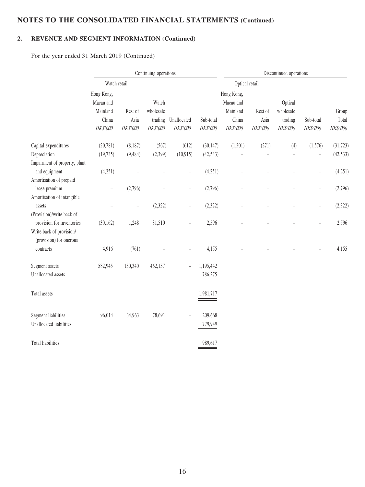# **2. REVENUE AND SEGMENT INFORMATION (Continued)**

For the year ended 31 March 2019 (Continued)

|                                                                                  | Continuing operations                                       |                             |                                           |                          |                        |                                                          |                             | Discontinued operations                     |                                     |                            |
|----------------------------------------------------------------------------------|-------------------------------------------------------------|-----------------------------|-------------------------------------------|--------------------------|------------------------|----------------------------------------------------------|-----------------------------|---------------------------------------------|-------------------------------------|----------------------------|
|                                                                                  | Watch retail                                                |                             |                                           |                          |                        | Optical retail                                           |                             |                                             |                                     |                            |
|                                                                                  | Hong Kong,<br>Macau and<br>Mainland<br>China<br>$H K\$'000$ | Rest of<br>Asia<br>HK\$'000 | Watch<br>wholesale<br>trading<br>HK\$'000 | Unallocated<br>HK\$'000  | Sub-total<br>HK\$'000  | Hong Kong,<br>Macau and<br>Mainland<br>China<br>HK\$'000 | Rest of<br>Asia<br>HK\$'000 | Optical<br>wholesale<br>trading<br>HK\$'000 | Sub-total<br>HK\$'000               | Group<br>Total<br>HK\$'000 |
| Capital expenditures<br>Depreciation<br>Impairment of property, plant            | (20, 781)<br>(19, 735)                                      | (8,187)<br>(9, 484)         | (567)<br>(2,399)                          | (612)<br>(10, 915)       | (30, 147)<br>(42, 533) | (1,301)<br>$\qquad \qquad -$                             | (271)                       | (4)<br>$\qquad \qquad -$                    | (1,576)<br>$\overline{\phantom{0}}$ | (31, 723)<br>(42, 533)     |
| and equipment<br>Amortisation of prepaid                                         | (4,251)                                                     | $\overline{\phantom{0}}$    |                                           | $\overline{\phantom{0}}$ | (4,251)                |                                                          |                             |                                             | $\overline{\phantom{0}}$            | (4,251)                    |
| lease premium<br>Amortisation of intangible                                      | $\overline{\phantom{a}}$                                    | (2,796)                     |                                           | $\overline{\phantom{0}}$ | (2,796)                |                                                          |                             |                                             | $\overline{\phantom{0}}$            | (2,796)                    |
| assets<br>(Provision)/write back of                                              |                                                             | $\qquad \qquad -$           | (2,322)                                   | $\overline{\phantom{0}}$ | (2,322)                |                                                          |                             |                                             | $\overline{\phantom{0}}$            | (2, 322)                   |
| provision for inventories<br>Write back of provision/<br>(provision) for onerous | (30, 162)                                                   | 1,248                       | 31,510                                    | $\overline{a}$           | 2,596                  |                                                          |                             |                                             |                                     | 2,596                      |
| contracts                                                                        | 4,916                                                       | (761)                       |                                           |                          | 4,155                  |                                                          |                             |                                             |                                     | 4,155                      |
| Segment assets<br>Unallocated assets                                             | 582,945                                                     | 150,340                     | 462,157                                   | L,                       | 1,195,442<br>786,275   |                                                          |                             |                                             |                                     |                            |
| Total assets                                                                     |                                                             |                             |                                           |                          | 1,981,717              |                                                          |                             |                                             |                                     |                            |
| Segment liabilities<br>Unallocated liabilities                                   | 96,014                                                      | 34,963                      | 78,691                                    |                          | 209,668<br>779,949     |                                                          |                             |                                             |                                     |                            |
| Total liabilities                                                                |                                                             |                             |                                           |                          | 989,617                |                                                          |                             |                                             |                                     |                            |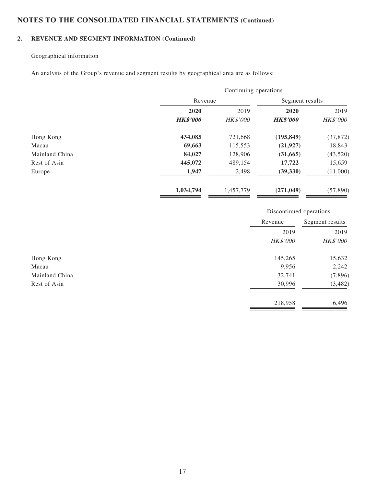## **2. REVENUE AND SEGMENT INFORMATION (Continued)**

## Geographical information

An analysis of the Group's revenue and segment results by geographical area are as follows:

|                |                 | Continuing operations |                 |                 |  |
|----------------|-----------------|-----------------------|-----------------|-----------------|--|
|                |                 | Revenue               |                 | Segment results |  |
|                | 2020            | 2019                  | 2020            | 2019            |  |
|                | <b>HK\$'000</b> | <b>HK\$'000</b>       | <b>HK\$'000</b> | <b>HK\$'000</b> |  |
| Hong Kong      | 434,085         | 721,668               | (195, 849)      | (37, 872)       |  |
| Macau          | 69,663          | 115,553               | (21, 927)       | 18,843          |  |
| Mainland China | 84,027          | 128,906               | (31,665)        | (43,520)        |  |
| Rest of Asia   | 445,072         | 489,154               | 17,722          | 15,659          |  |
| Europe         | 1,947           | 2,498                 | (39, 330)       | (11,000)        |  |
|                | 1,034,794       | 1,457,779             | (271, 049)      | (57, 890)       |  |

|                | Discontinued operations |                 |  |
|----------------|-------------------------|-----------------|--|
|                | Revenue                 | Segment results |  |
|                | 2019                    | 2019            |  |
|                | <b>HK\$'000</b>         | <b>HK\$'000</b> |  |
| Hong Kong      | 145,265                 | 15,632          |  |
| Macau          | 9,956                   | 2,242           |  |
| Mainland China | 32,741                  | (7,896)         |  |
| Rest of Asia   | 30,996                  | (3,482)         |  |
|                | 218,958                 | 6,496           |  |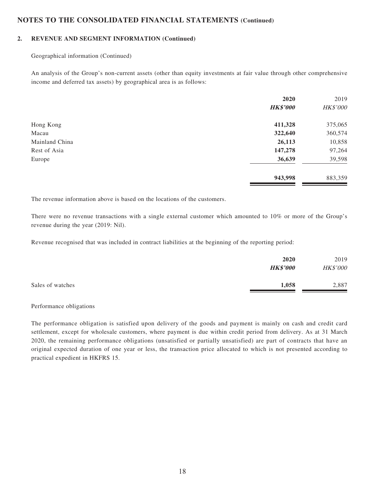#### **2. REVENUE AND SEGMENT INFORMATION (Continued)**

Geographical information (Continued)

An analysis of the Group's non-current assets (other than equity investments at fair value through other comprehensive income and deferred tax assets) by geographical area is as follows:

|                | 2020            | 2019     |
|----------------|-----------------|----------|
|                | <b>HK\$'000</b> | HK\$'000 |
| Hong Kong      | 411,328         | 375,065  |
| Macau          | 322,640         | 360,574  |
| Mainland China | 26,113          | 10,858   |
| Rest of Asia   | 147,278         | 97,264   |
| Europe         | 36,639          | 39,598   |
|                | 943,998         | 883,359  |

The revenue information above is based on the locations of the customers.

There were no revenue transactions with a single external customer which amounted to 10% or more of the Group's revenue during the year (2019: Nil).

Revenue recognised that was included in contract liabilities at the beginning of the reporting period:

|                  | 2020<br><b>HK\$'000</b> | 2019<br>HK\$'000 |
|------------------|-------------------------|------------------|
| Sales of watches | 1,058                   | 2,887            |

Performance obligations

The performance obligation is satisfied upon delivery of the goods and payment is mainly on cash and credit card settlement, except for wholesale customers, where payment is due within credit period from delivery. As at 31 March 2020, the remaining performance obligations (unsatisfied or partially unsatisfied) are part of contracts that have an original expected duration of one year or less, the transaction price allocated to which is not presented according to practical expedient in HKFRS 15.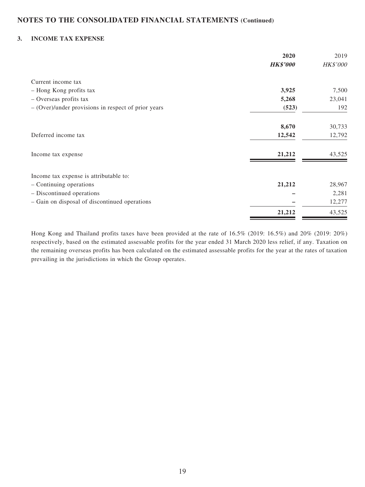### **3. INCOME TAX EXPENSE**

|                                                       | 2020            | 2019            |
|-------------------------------------------------------|-----------------|-----------------|
|                                                       | <b>HK\$'000</b> | <b>HK\$'000</b> |
| Current income tax                                    |                 |                 |
| - Hong Kong profits tax                               | 3,925           | 7,500           |
| - Overseas profits tax                                | 5,268           | 23,041          |
| $-$ (Over)/under provisions in respect of prior years | (523)           | 192             |
|                                                       | 8,670           | 30,733          |
| Deferred income tax                                   | 12,542          | 12,792          |
| Income tax expense                                    | 21,212          | 43,525          |
| Income tax expense is attributable to:                |                 |                 |
| - Continuing operations                               | 21,212          | 28,967          |
| - Discontinued operations                             |                 | 2,281           |
| - Gain on disposal of discontinued operations         |                 | 12,277          |
|                                                       | 21,212          | 43,525          |

Hong Kong and Thailand profits taxes have been provided at the rate of 16.5% (2019: 16.5%) and 20% (2019: 20%) respectively, based on the estimated assessable profits for the year ended 31 March 2020 less relief, if any. Taxation on the remaining overseas profits has been calculated on the estimated assessable profits for the year at the rates of taxation prevailing in the jurisdictions in which the Group operates.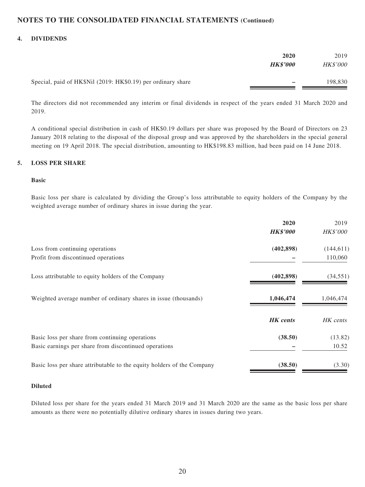### **4. DIVIDENDS**

|                                                              | 2020<br><b>HK\$'000</b> | 2019<br><b>HK\$'000</b> |
|--------------------------------------------------------------|-------------------------|-------------------------|
| Special, paid of HK\$Nil (2019: HK\$0.19) per ordinary share |                         | 198,830                 |

The directors did not recommended any interim or final dividends in respect of the years ended 31 March 2020 and 2019.

A conditional special distribution in cash of HK\$0.19 dollars per share was proposed by the Board of Directors on 23 January 2018 relating to the disposal of the disposal group and was approved by the shareholders in the special general meeting on 19 April 2018. The special distribution, amounting to HK\$198.83 million, had been paid on 14 June 2018.

### **5. LOSS PER SHARE**

#### **Basic**

Basic loss per share is calculated by dividing the Group's loss attributable to equity holders of the Company by the weighted average number of ordinary shares in issue during the year.

|                                                                        | 2020<br><b>HK\$'000</b> | 2019<br><b>HK\$'000</b> |
|------------------------------------------------------------------------|-------------------------|-------------------------|
| Loss from continuing operations                                        | (402, 898)              | (144, 611)              |
| Profit from discontinued operations                                    |                         | 110,060                 |
| Loss attributable to equity holders of the Company                     | (402, 898)              | (34, 551)               |
| Weighted average number of ordinary shares in issue (thousands)        | 1,046,474               | 1,046,474               |
|                                                                        | <b>HK</b> cents         | HK cents                |
| Basic loss per share from continuing operations                        | (38.50)                 | (13.82)                 |
| Basic earnings per share from discontinued operations                  |                         | 10.52                   |
| Basic loss per share attributable to the equity holders of the Company | (38.50)                 | (3.30)                  |

#### **Diluted**

Diluted loss per share for the years ended 31 March 2019 and 31 March 2020 are the same as the basic loss per share amounts as there were no potentially dilutive ordinary shares in issues during two years.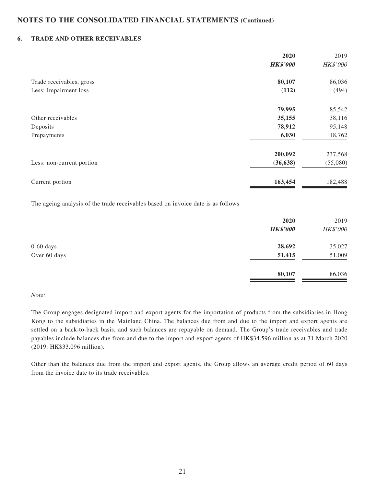### **6. TRADE AND OTHER RECEIVABLES**

| 2020            | 2019     |
|-----------------|----------|
| <b>HK\$'000</b> | HK\$'000 |
| 80,107          | 86,036   |
| (112)           | (494)    |
| 79,995          | 85,542   |
| 35,155          | 38,116   |
| 78,912          | 95,148   |
| 6,030           | 18,762   |
| 200,092         | 237,568  |
| (36, 638)       | (55,080) |
| 163,454         | 182,488  |
|                 |          |

The ageing analysis of the trade receivables based on invoice date is as follows

|              | 2020<br><b>HK\$'000</b> | 2019<br>HK\$'000 |
|--------------|-------------------------|------------------|
| $0-60$ days  | 28,692                  | 35,027           |
| Over 60 days | 51,415                  | 51,009           |
|              | 80,107                  | 86,036           |

#### Note:

The Group engages designated import and export agents for the importation of products from the subsidiaries in Hong Kong to the subsidiaries in the Mainland China. The balances due from and due to the import and export agents are settled on a back-to-back basis, and such balances are repayable on demand. The Group's trade receivables and trade payables include balances due from and due to the import and export agents of HK\$34.596 million as at 31 March 2020 (2019: HK\$33.096 million).

Other than the balances due from the import and export agents, the Group allows an average credit period of 60 days from the invoice date to its trade receivables.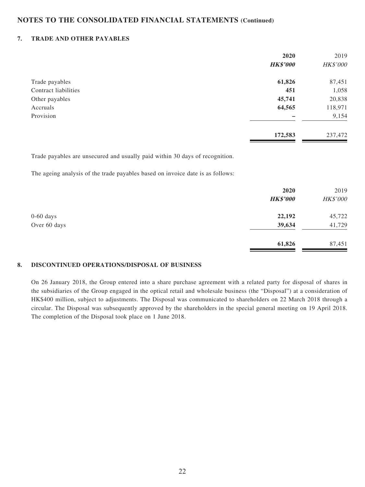### **7. TRADE AND OTHER PAYABLES**

| 2020            | 2019     |
|-----------------|----------|
| <b>HK\$'000</b> | HK\$'000 |
| 61,826          | 87,451   |
| 451             | 1,058    |
| 45,741          | 20,838   |
| 64,565          | 118,971  |
|                 | 9,154    |
| 172,583         | 237,472  |
|                 |          |

Trade payables are unsecured and usually paid within 30 days of recognition.

The ageing analysis of the trade payables based on invoice date is as follows:

|              | 2020<br><b>HK\$'000</b> | 2019<br>HK\$'000 |
|--------------|-------------------------|------------------|
| $0-60$ days  | 22,192                  | 45,722           |
| Over 60 days | 39,634                  | 41,729           |
|              | 61,826                  | 87,451           |

### **8. DISCONTINUED OPERATIONS/DISPOSAL OF BUSINESS**

On 26 January 2018, the Group entered into a share purchase agreement with a related party for disposal of shares in the subsidiaries of the Group engaged in the optical retail and wholesale business (the "Disposal") at a consideration of HK\$400 million, subject to adjustments. The Disposal was communicated to shareholders on 22 March 2018 through a circular. The Disposal was subsequently approved by the shareholders in the special general meeting on 19 April 2018. The completion of the Disposal took place on 1 June 2018.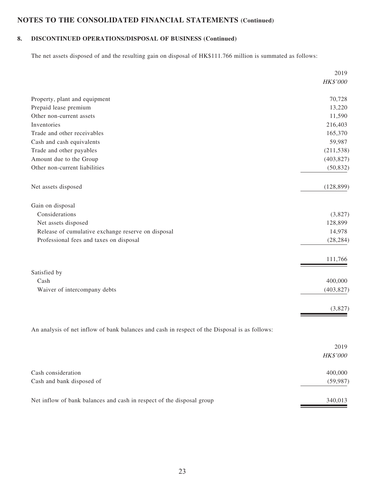# **8. DISCONTINUED OPERATIONS/DISPOSAL OF BUSINESS (Continued)**

The net assets disposed of and the resulting gain on disposal of HK\$111.766 million is summated as follows:

|                                                                                               | 2019       |
|-----------------------------------------------------------------------------------------------|------------|
|                                                                                               | HK\$'000   |
| Property, plant and equipment                                                                 | 70,728     |
| Prepaid lease premium                                                                         | 13,220     |
| Other non-current assets                                                                      | 11,590     |
| Inventories                                                                                   | 216,403    |
| Trade and other receivables                                                                   | 165,370    |
| Cash and cash equivalents                                                                     | 59,987     |
| Trade and other payables                                                                      | (211, 538) |
| Amount due to the Group                                                                       | (403, 827) |
| Other non-current liabilities                                                                 | (50, 832)  |
| Net assets disposed                                                                           | (128, 899) |
| Gain on disposal                                                                              |            |
| Considerations                                                                                | (3,827)    |
| Net assets disposed                                                                           | 128,899    |
| Release of cumulative exchange reserve on disposal                                            | 14,978     |
| Professional fees and taxes on disposal                                                       | (28, 284)  |
|                                                                                               | 111,766    |
| Satisfied by                                                                                  |            |
| Cash                                                                                          | 400,000    |
| Waiver of intercompany debts                                                                  | (403, 827) |
|                                                                                               | (3,827)    |
| An analysis of net inflow of bank balances and cash in respect of the Disposal is as follows: |            |
|                                                                                               | 2019       |
|                                                                                               | $HK\$ '000 |
| Cash consideration                                                                            | 400,000    |
| Cash and bank disposed of                                                                     | (59, 987)  |
| Net inflow of bank balances and cash in respect of the disposal group                         | 340,013    |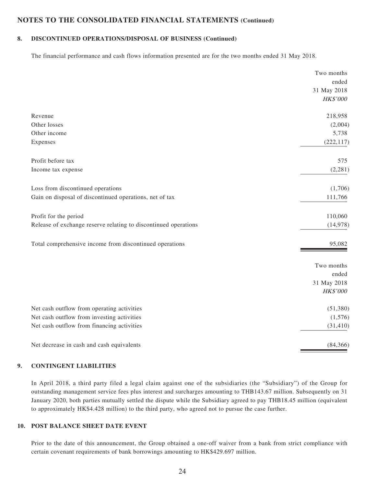### **8. DISCONTINUED OPERATIONS/DISPOSAL OF BUSINESS (Continued)**

The financial performance and cash flows information presented are for the two months ended 31 May 2018.

|                                                                 | Two months  |
|-----------------------------------------------------------------|-------------|
|                                                                 | ended       |
|                                                                 | 31 May 2018 |
|                                                                 | HK\$'000    |
| Revenue                                                         | 218,958     |
| Other losses                                                    | (2,004)     |
| Other income                                                    | 5,738       |
| Expenses                                                        | (222, 117)  |
| Profit before tax                                               | 575         |
| Income tax expense                                              | (2,281)     |
| Loss from discontinued operations                               | (1,706)     |
| Gain on disposal of discontinued operations, net of tax         | 111,766     |
| Profit for the period                                           | 110,060     |
| Release of exchange reserve relating to discontinued operations | (14,978)    |
| Total comprehensive income from discontinued operations         | 95,082      |
|                                                                 | Two months  |
|                                                                 | ended       |
|                                                                 | 31 May 2018 |
|                                                                 | HK\$'000    |
| Net cash outflow from operating activities                      | (51, 380)   |
| Net cash outflow from investing activities                      | (1,576)     |
| Net cash outflow from financing activities                      | (31, 410)   |
| Net decrease in cash and cash equivalents                       | (84,366)    |

### **9. CONTINGENT LIABILITIES**

In April 2018, a third party filed a legal claim against one of the subsidiaries (the "Subsidiary") of the Group for outstanding management service fees plus interest and surcharges amounting to THB143.67 million. Subsequently on 31 January 2020, both parties mutually settled the dispute while the Subsidiary agreed to pay THB18.45 million (equivalent to approximately HK\$4.428 million) to the third party, who agreed not to pursue the case further.

### **10. POST BALANCE SHEET DATE EVENT**

Prior to the date of this announcement, the Group obtained a one-off waiver from a bank from strict compliance with certain covenant requirements of bank borrowings amounting to HK\$429.697 million.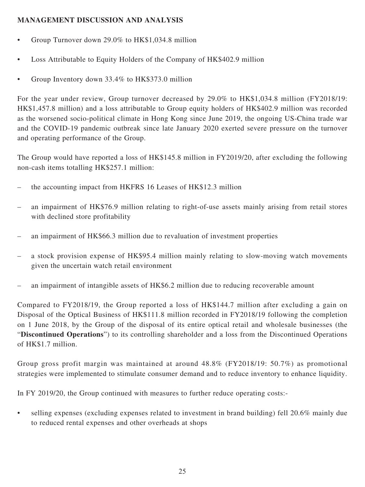# **MANAGEMENT DISCUSSION AND ANALYSIS**

- Group Turnover down 29.0% to HK\$1,034.8 million
- Loss Attributable to Equity Holders of the Company of HK\$402.9 million
- Group Inventory down 33.4% to HK\$373.0 million

For the year under review, Group turnover decreased by 29.0% to HK\$1,034.8 million (FY2018/19: HK\$1,457.8 million) and a loss attributable to Group equity holders of HK\$402.9 million was recorded as the worsened socio-political climate in Hong Kong since June 2019, the ongoing US-China trade war and the COVID-19 pandemic outbreak since late January 2020 exerted severe pressure on the turnover and operating performance of the Group.

The Group would have reported a loss of HK\$145.8 million in FY2019/20, after excluding the following non-cash items totalling HK\$257.1 million:

- the accounting impact from HKFRS 16 Leases of HK\$12.3 million
- an impairment of HK\$76.9 million relating to right-of-use assets mainly arising from retail stores with declined store profitability
- an impairment of HK\$66.3 million due to revaluation of investment properties
- a stock provision expense of HK\$95.4 million mainly relating to slow-moving watch movements given the uncertain watch retail environment
- an impairment of intangible assets of HK\$6.2 million due to reducing recoverable amount

Compared to FY2018/19, the Group reported a loss of HK\$144.7 million after excluding a gain on Disposal of the Optical Business of HK\$111.8 million recorded in FY2018/19 following the completion on 1 June 2018, by the Group of the disposal of its entire optical retail and wholesale businesses (the "**Discontinued Operations**") to its controlling shareholder and a loss from the Discontinued Operations of HK\$1.7 million.

Group gross profit margin was maintained at around 48.8% (FY2018/19: 50.7%) as promotional strategies were implemented to stimulate consumer demand and to reduce inventory to enhance liquidity.

In FY 2019/20, the Group continued with measures to further reduce operating costs:-

• selling expenses (excluding expenses related to investment in brand building) fell 20.6% mainly due to reduced rental expenses and other overheads at shops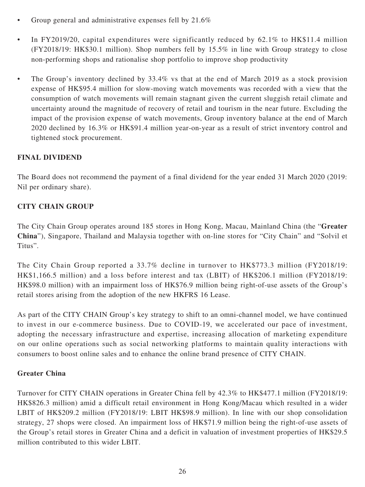- Group general and administrative expenses fell by 21.6%
- In FY2019/20, capital expenditures were significantly reduced by 62.1% to HK\$11.4 million (FY2018/19: HK\$30.1 million). Shop numbers fell by 15.5% in line with Group strategy to close non-performing shops and rationalise shop portfolio to improve shop productivity
- The Group's inventory declined by 33.4% vs that at the end of March 2019 as a stock provision expense of HK\$95.4 million for slow-moving watch movements was recorded with a view that the consumption of watch movements will remain stagnant given the current sluggish retail climate and uncertainty around the magnitude of recovery of retail and tourism in the near future. Excluding the impact of the provision expense of watch movements, Group inventory balance at the end of March 2020 declined by 16.3% or HK\$91.4 million year-on-year as a result of strict inventory control and tightened stock procurement.

# **FINAL DIVIDEND**

The Board does not recommend the payment of a final dividend for the year ended 31 March 2020 (2019: Nil per ordinary share).

# **CITY CHAIN GROUP**

The City Chain Group operates around 185 stores in Hong Kong, Macau, Mainland China (the "**Greater China**"), Singapore, Thailand and Malaysia together with on-line stores for "City Chain" and "Solvil et Titus".

The City Chain Group reported a 33.7% decline in turnover to HK\$773.3 million (FY2018/19: HK\$1,166.5 million) and a loss before interest and tax (LBIT) of HK\$206.1 million (FY2018/19: HK\$98.0 million) with an impairment loss of HK\$76.9 million being right-of-use assets of the Group's retail stores arising from the adoption of the new HKFRS 16 Lease.

As part of the CITY CHAIN Group's key strategy to shift to an omni-channel model, we have continued to invest in our e-commerce business. Due to COVID-19, we accelerated our pace of investment, adopting the necessary infrastructure and expertise, increasing allocation of marketing expenditure on our online operations such as social networking platforms to maintain quality interactions with consumers to boost online sales and to enhance the online brand presence of CITY CHAIN.

# **Greater China**

Turnover for CITY CHAIN operations in Greater China fell by 42.3% to HK\$477.1 million (FY2018/19: HK\$826.3 million) amid a difficult retail environment in Hong Kong/Macau which resulted in a wider LBIT of HK\$209.2 million (FY2018/19: LBIT HK\$98.9 million). In line with our shop consolidation strategy, 27 shops were closed. An impairment loss of HK\$71.9 million being the right-of-use assets of the Group's retail stores in Greater China and a deficit in valuation of investment properties of HK\$29.5 million contributed to this wider LBIT.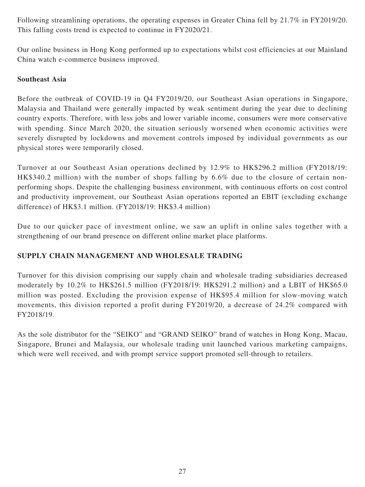Following streamlining operations, the operating expenses in Greater China fell by 21.7% in FY2019/20. This falling costs trend is expected to continue in FY2020/21.

Our online business in Hong Kong performed up to expectations whilst cost efficiencies at our Mainland China watch e-commerce business improved.

# **Southeast Asia**

Before the outbreak of COVID-19 in Q4 FY2019/20, our Southeast Asian operations in Singapore, Malaysia and Thailand were generally impacted by weak sentiment during the year due to declining country exports. Therefore, with less jobs and lower variable income, consumers were more conservative with spending. Since March 2020, the situation seriously worsened when economic activities were severely disrupted by lockdowns and movement controls imposed by individual governments as our physical stores were temporarily closed.

Turnover at our Southeast Asian operations declined by 12.9% to HK\$296.2 million (FY2018/19: HK\$340.2 million) with the number of shops falling by 6.6% due to the closure of certain nonperforming shops. Despite the challenging business environment, with continuous efforts on cost control and productivity improvement, our Southeast Asian operations reported an EBIT (excluding exchange difference) of HK\$3.1 million. (FY2018/19: HK\$3.4 million)

Due to our quicker pace of investment online, we saw an uplift in online sales together with a strengthening of our brand presence on different online market place platforms.

# **SUPPLY CHAIN MANAGEMENT AND WHOLESALE TRADING**

Turnover for this division comprising our supply chain and wholesale trading subsidiaries decreased moderately by 10.2% to HK\$261.5 million (FY2018/19: HK\$291.2 million) and a LBIT of HK\$65.0 million was posted. Excluding the provision expense of HK\$95.4 million for slow-moving watch movements, this division reported a profit during FY2019/20, a decrease of 24.2% compared with FY2018/19.

As the sole distributor for the "SEIKO" and "GRAND SEIKO" brand of watches in Hong Kong, Macau, Singapore, Brunei and Malaysia, our wholesale trading unit launched various marketing campaigns, which were well received, and with prompt service support promoted sell-through to retailers.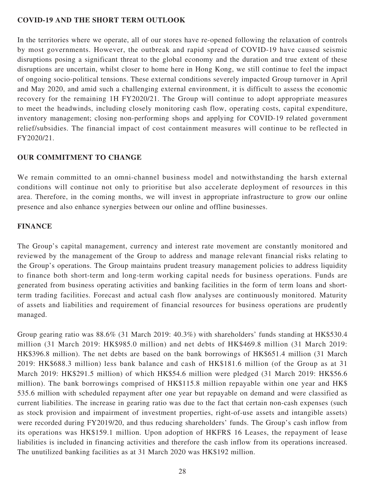## **COVID-19 AND THE SHORT TERM OUTLOOK**

In the territories where we operate, all of our stores have re-opened following the relaxation of controls by most governments. However, the outbreak and rapid spread of COVID-19 have caused seismic disruptions posing a significant threat to the global economy and the duration and true extent of these disruptions are uncertain, whilst closer to home here in Hong Kong, we still continue to feel the impact of ongoing socio-political tensions. These external conditions severely impacted Group turnover in April and May 2020, and amid such a challenging external environment, it is difficult to assess the economic recovery for the remaining 1H FY2020/21. The Group will continue to adopt appropriate measures to meet the headwinds, including closely monitoring cash flow, operating costs, capital expenditure, inventory management; closing non-performing shops and applying for COVID-19 related government relief/subsidies. The financial impact of cost containment measures will continue to be reflected in FY2020/21.

# **OUR COMMITMENT TO CHANGE**

We remain committed to an omni-channel business model and notwithstanding the harsh external conditions will continue not only to prioritise but also accelerate deployment of resources in this area. Therefore, in the coming months, we will invest in appropriate infrastructure to grow our online presence and also enhance synergies between our online and offline businesses.

## **FINANCE**

The Group's capital management, currency and interest rate movement are constantly monitored and reviewed by the management of the Group to address and manage relevant financial risks relating to the Group's operations. The Group maintains prudent treasury management policies to address liquidity to finance both short-term and long-term working capital needs for business operations. Funds are generated from business operating activities and banking facilities in the form of term loans and shortterm trading facilities. Forecast and actual cash flow analyses are continuously monitored. Maturity of assets and liabilities and requirement of financial resources for business operations are prudently managed.

Group gearing ratio was 88.6% (31 March 2019: 40.3%) with shareholders' funds standing at HK\$530.4 million (31 March 2019: HK\$985.0 million) and net debts of HK\$469.8 million (31 March 2019: HK\$396.8 million). The net debts are based on the bank borrowings of HK\$651.4 million (31 March 2019: HK\$688.3 million) less bank balance and cash of HK\$181.6 million (of the Group as at 31 March 2019: HK\$291.5 million) of which HK\$54.6 million were pledged (31 March 2019: HK\$56.6 million). The bank borrowings comprised of HK\$115.8 million repayable within one year and HK\$ 535.6 million with scheduled repayment after one year but repayable on demand and were classified as current liabilities. The increase in gearing ratio was due to the fact that certain non-cash expenses (such as stock provision and impairment of investment properties, right-of-use assets and intangible assets) were recorded during FY2019/20, and thus reducing shareholders' funds. The Group's cash inflow from its operations was HK\$159.1 million. Upon adoption of HKFRS 16 Leases, the repayment of lease liabilities is included in financing activities and therefore the cash inflow from its operations increased. The unutilized banking facilities as at 31 March 2020 was HK\$192 million.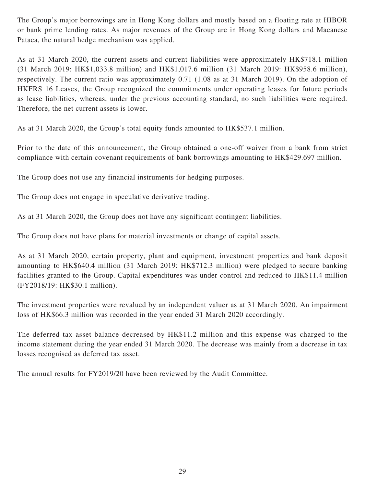The Group's major borrowings are in Hong Kong dollars and mostly based on a floating rate at HIBOR or bank prime lending rates. As major revenues of the Group are in Hong Kong dollars and Macanese Pataca, the natural hedge mechanism was applied.

As at 31 March 2020, the current assets and current liabilities were approximately HK\$718.1 million (31 March 2019: HK\$1,033.8 million) and HK\$1,017.6 million (31 March 2019: HK\$958.6 million), respectively. The current ratio was approximately 0.71 (1.08 as at 31 March 2019). On the adoption of HKFRS 16 Leases, the Group recognized the commitments under operating leases for future periods as lease liabilities, whereas, under the previous accounting standard, no such liabilities were required. Therefore, the net current assets is lower.

As at 31 March 2020, the Group's total equity funds amounted to HK\$537.1 million.

Prior to the date of this announcement, the Group obtained a one-off waiver from a bank from strict compliance with certain covenant requirements of bank borrowings amounting to HK\$429.697 million.

The Group does not use any financial instruments for hedging purposes.

The Group does not engage in speculative derivative trading.

As at 31 March 2020, the Group does not have any significant contingent liabilities.

The Group does not have plans for material investments or change of capital assets.

As at 31 March 2020, certain property, plant and equipment, investment properties and bank deposit amounting to HK\$640.4 million (31 March 2019: HK\$712.3 million) were pledged to secure banking facilities granted to the Group. Capital expenditures was under control and reduced to HK\$11.4 million (FY2018/19: HK\$30.1 million).

The investment properties were revalued by an independent valuer as at 31 March 2020. An impairment loss of HK\$66.3 million was recorded in the year ended 31 March 2020 accordingly.

The deferred tax asset balance decreased by HK\$11.2 million and this expense was charged to the income statement during the year ended 31 March 2020. The decrease was mainly from a decrease in tax losses recognised as deferred tax asset.

The annual results for FY2019/20 have been reviewed by the Audit Committee.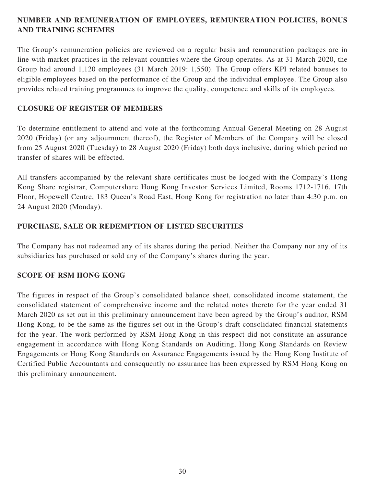# **NUMBER AND REMUNERATION OF EMPLOYEES, REMUNERATION POLICIES, BONUS AND TRAINING SCHEMES**

The Group's remuneration policies are reviewed on a regular basis and remuneration packages are in line with market practices in the relevant countries where the Group operates. As at 31 March 2020, the Group had around 1,120 employees (31 March 2019: 1,550). The Group offers KPI related bonuses to eligible employees based on the performance of the Group and the individual employee. The Group also provides related training programmes to improve the quality, competence and skills of its employees.

# **CLOSURE OF REGISTER OF MEMBERS**

To determine entitlement to attend and vote at the forthcoming Annual General Meeting on 28 August 2020 (Friday) (or any adjournment thereof), the Register of Members of the Company will be closed from 25 August 2020 (Tuesday) to 28 August 2020 (Friday) both days inclusive, during which period no transfer of shares will be effected.

All transfers accompanied by the relevant share certificates must be lodged with the Company's Hong Kong Share registrar, Computershare Hong Kong Investor Services Limited, Rooms 1712-1716, 17th Floor, Hopewell Centre, 183 Queen's Road East, Hong Kong for registration no later than 4:30 p.m. on 24 August 2020 (Monday).

# **PURCHASE, SALE OR REDEMPTION OF LISTED SECURITIES**

The Company has not redeemed any of its shares during the period. Neither the Company nor any of its subsidiaries has purchased or sold any of the Company's shares during the year.

# **SCOPE OF RSM HONG KONG**

The figures in respect of the Group's consolidated balance sheet, consolidated income statement, the consolidated statement of comprehensive income and the related notes thereto for the year ended 31 March 2020 as set out in this preliminary announcement have been agreed by the Group's auditor, RSM Hong Kong, to be the same as the figures set out in the Group's draft consolidated financial statements for the year. The work performed by RSM Hong Kong in this respect did not constitute an assurance engagement in accordance with Hong Kong Standards on Auditing, Hong Kong Standards on Review Engagements or Hong Kong Standards on Assurance Engagements issued by the Hong Kong Institute of Certified Public Accountants and consequently no assurance has been expressed by RSM Hong Kong on this preliminary announcement.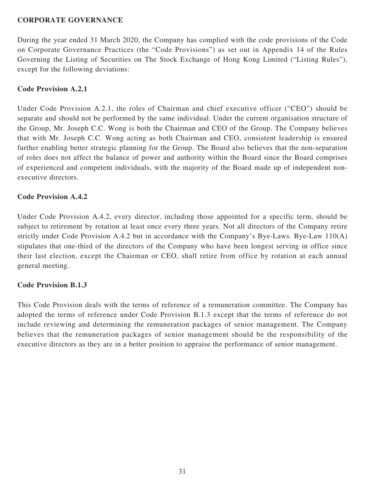## **CORPORATE GOVERNANCE**

During the year ended 31 March 2020, the Company has complied with the code provisions of the Code on Corporate Governance Practices (the "Code Provisions") as set out in Appendix 14 of the Rules Governing the Listing of Securities on The Stock Exchange of Hong Kong Limited ("Listing Rules"), except for the following deviations:

## **Code Provision A.2.1**

Under Code Provision A.2.1, the roles of Chairman and chief executive officer ("CEO") should be separate and should not be performed by the same individual. Under the current organisation structure of the Group, Mr. Joseph C.C. Wong is both the Chairman and CEO of the Group. The Company believes that with Mr. Joseph C.C. Wong acting as both Chairman and CEO, consistent leadership is ensured further enabling better strategic planning for the Group. The Board also believes that the non-separation of roles does not affect the balance of power and authority within the Board since the Board comprises of experienced and competent individuals, with the majority of the Board made up of independent nonexecutive directors.

## **Code Provision A.4.2**

Under Code Provision A.4.2, every director, including those appointed for a specific term, should be subject to retirement by rotation at least once every three years. Not all directors of the Company retire strictly under Code Provision A.4.2 but in accordance with the Company's Bye-Laws. Bye-Law 110(A) stipulates that one-third of the directors of the Company who have been longest serving in office since their last election, except the Chairman or CEO, shall retire from office by rotation at each annual general meeting.

## **Code Provision B.1.3**

This Code Provision deals with the terms of reference of a remuneration committee. The Company has adopted the terms of reference under Code Provision B.1.3 except that the terms of reference do not include reviewing and determining the remuneration packages of senior management. The Company believes that the remuneration packages of senior management should be the responsibility of the executive directors as they are in a better position to appraise the performance of senior management.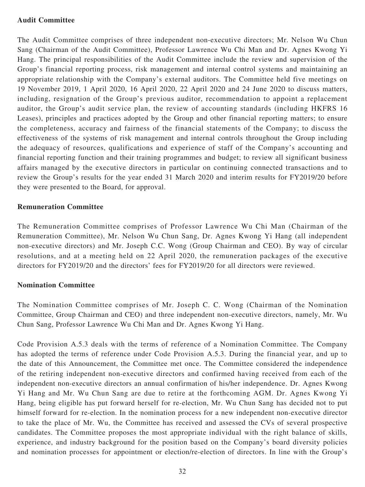## **Audit Committee**

The Audit Committee comprises of three independent non-executive directors; Mr. Nelson Wu Chun Sang (Chairman of the Audit Committee), Professor Lawrence Wu Chi Man and Dr. Agnes Kwong Yi Hang. The principal responsibilities of the Audit Committee include the review and supervision of the Group's financial reporting process, risk management and internal control systems and maintaining an appropriate relationship with the Company's external auditors. The Committee held five meetings on 19 November 2019, 1 April 2020, 16 April 2020, 22 April 2020 and 24 June 2020 to discuss matters, including, resignation of the Group's previous auditor, recommendation to appoint a replacement auditor, the Group's audit service plan, the review of accounting standards (including HKFRS 16 Leases), principles and practices adopted by the Group and other financial reporting matters; to ensure the completeness, accuracy and fairness of the financial statements of the Company; to discuss the effectiveness of the systems of risk management and internal controls throughout the Group including the adequacy of resources, qualifications and experience of staff of the Company's accounting and financial reporting function and their training programmes and budget; to review all significant business affairs managed by the executive directors in particular on continuing connected transactions and to review the Group's results for the year ended 31 March 2020 and interim results for FY2019/20 before they were presented to the Board, for approval.

## **Remuneration Committee**

The Remuneration Committee comprises of Professor Lawrence Wu Chi Man (Chairman of the Remuneration Committee), Mr. Nelson Wu Chun Sang, Dr. Agnes Kwong Yi Hang (all independent non-executive directors) and Mr. Joseph C.C. Wong (Group Chairman and CEO). By way of circular resolutions, and at a meeting held on 22 April 2020, the remuneration packages of the executive directors for FY2019/20 and the directors' fees for FY2019/20 for all directors were reviewed.

## **Nomination Committee**

The Nomination Committee comprises of Mr. Joseph C. C. Wong (Chairman of the Nomination Committee, Group Chairman and CEO) and three independent non-executive directors, namely, Mr. Wu Chun Sang, Professor Lawrence Wu Chi Man and Dr. Agnes Kwong Yi Hang.

Code Provision A.5.3 deals with the terms of reference of a Nomination Committee. The Company has adopted the terms of reference under Code Provision A.5.3. During the financial year, and up to the date of this Announcement, the Committee met once. The Committee considered the independence of the retiring independent non-executive directors and confirmed having received from each of the independent non-executive directors an annual confirmation of his/her independence. Dr. Agnes Kwong Yi Hang and Mr. Wu Chun Sang are due to retire at the forthcoming AGM. Dr. Agnes Kwong Yi Hang, being eligible has put forward herself for re-election, Mr. Wu Chun Sang has decided not to put himself forward for re-election. In the nomination process for a new independent non-executive director to take the place of Mr. Wu, the Committee has received and assessed the CVs of several prospective candidates. The Committee proposes the most appropriate individual with the right balance of skills, experience, and industry background for the position based on the Company's board diversity policies and nomination processes for appointment or election/re-election of directors. In line with the Group's